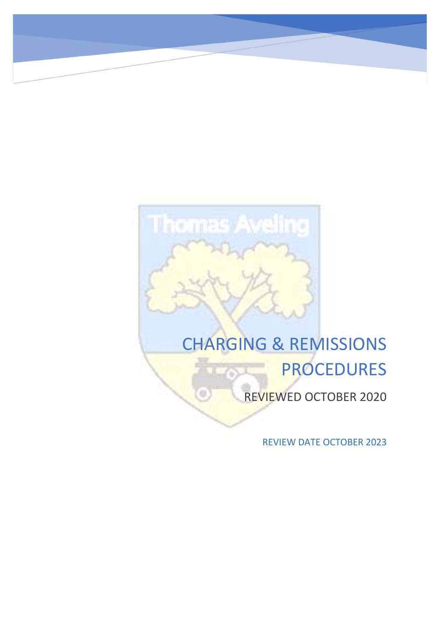# **Thomas Aveling**

# CHARGING & REMISSIONS PROCEDURES

REVIEWED OCTOBER 2020

REVIEW DATE OCTOBER 2023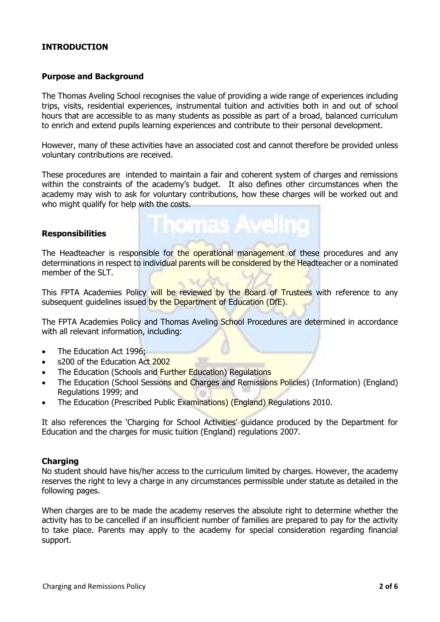# **INTRODUCTION**

### **Purpose and Background**

The Thomas Aveling School recognises the value of providing a wide range of experiences including trips, visits, residential experiences, instrumental tuition and activities both in and out of school hours that are accessible to as many students as possible as part of a broad, balanced curriculum to enrich and extend pupils learning experiences and contribute to their personal development.

However, many of these activities have an associated cost and cannot therefore be provided unless voluntary contributions are received.

These procedures are intended to maintain a fair and coherent system of charges and remissions within the constraints of the academy's budget. It also defines other circumstances when the academy may wish to ask for voluntary contributions, how these charges will be worked out and who might qualify for help with the costs.

### **Responsibilities**

The Headteacher is responsible for the operational management of these procedures and any determinations in respect to individual parents will be considered by the Headteacher or a nominated member of the SLT.

This FPTA Academies Policy will be reviewed by the Board of Trustees with reference to any subsequent quidelines issued by the Department of Education (DfE).

The FPTA Academies Policy and Thomas Aveling School Procedures are determined in accordance with all relevant information, including:

- The Education Act 1996;
- s200 of the Education Act 2002
- The Education (Schools and Further Education) Regulations
- The Education (School Sessions and Charges and Remissions Policies) (Information) (England) Regulations 1999; and
- The Education (Prescribed Public Examinations) (England) Regulations 2010.

It also references the 'Charging for School Activities' guidance produced by the Department for Education and the charges for music tuition (England) regulations 2007.

### **Charging**

No student should have his/her access to the curriculum limited by charges. However, the academy reserves the right to levy a charge in any circumstances permissible under statute as detailed in the following pages.

When charges are to be made the academy reserves the absolute right to determine whether the activity has to be cancelled if an insufficient number of families are prepared to pay for the activity to take place. Parents may apply to the academy for special consideration regarding financial support.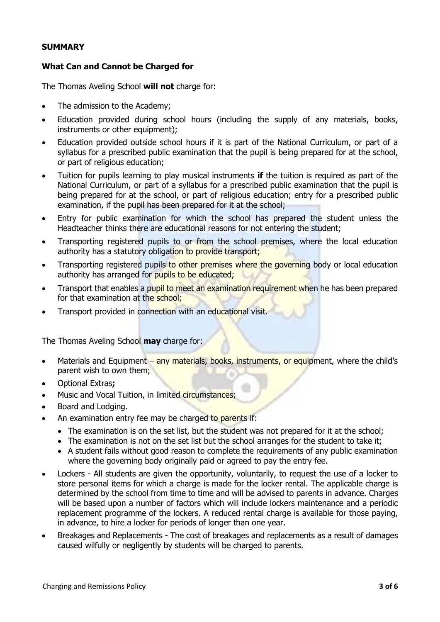### **SUMMARY**

# **What Can and Cannot be Charged for**

The Thomas Aveling School **will not** charge for:

- The admission to the Academy;
- Education provided during school hours (including the supply of any materials, books, instruments or other equipment);
- Education provided outside school hours if it is part of the National Curriculum, or part of a syllabus for a prescribed public examination that the pupil is being prepared for at the school, or part of religious education;
- Tuition for pupils learning to play musical instruments **if** the tuition is required as part of the National Curriculum, or part of a syllabus for a prescribed public examination that the pupil is being prepared for at the school, or part of religious education; entry for a prescribed public examination, if the pupil has been prepared for it at the school;
- Entry for public examination for which the school has prepared the student unless the Headteacher thinks there are educational reasons for not entering the student;
- Transporting registered pupils to or from the school premises, where the local education authority has a statutory obligation to provide transport;
- Transporting registered pupils to other premises where the governing body or local education authority has arranged for pupils to be educated;
- Transport that enables a pupil to meet an examination requirement when he has been prepared for that examination at the school:
- Transport provided in connection with an educational visit.

The Thomas Aveling School **may** charge for:

- Materials and Equipment any materials, books, instruments, or equipment, where the child's parent wish to own them;
- Optional Extras**;**
- Music and Vocal Tuition, in limited circumstances;
- Board and Lodging.
- An examination entry fee may be charged to parents if:
	- The examination is on the set list, but the student was not prepared for it at the school;
	- The examination is not on the set list but the school arranges for the student to take it:
	- A student fails without good reason to complete the requirements of any public examination where the governing body originally paid or agreed to pay the entry fee.
- Lockers All students are given the opportunity, voluntarily, to request the use of a locker to store personal items for which a charge is made for the locker rental. The applicable charge is determined by the school from time to time and will be advised to parents in advance. Charges will be based upon a number of factors which will include lockers maintenance and a periodic replacement programme of the lockers. A reduced rental charge is available for those paying, in advance, to hire a locker for periods of longer than one year.
- Breakages and Replacements The cost of breakages and replacements as a result of damages caused wilfully or negligently by students will be charged to parents.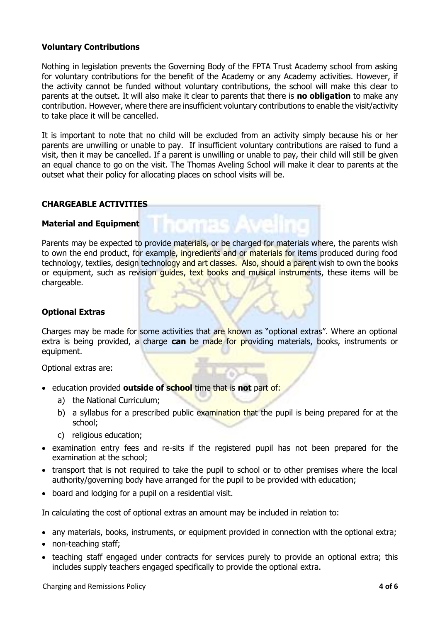# **Voluntary Contributions**

Nothing in legislation prevents the Governing Body of the FPTA Trust Academy school from asking for voluntary contributions for the benefit of the Academy or any Academy activities. However, if the activity cannot be funded without voluntary contributions, the school will make this clear to parents at the outset. It will also make it clear to parents that there is **no obligation** to make any contribution. However, where there are insufficient voluntary contributions to enable the visit/activity to take place it will be cancelled.

It is important to note that no child will be excluded from an activity simply because his or her parents are unwilling or unable to pay. If insufficient voluntary contributions are raised to fund a visit, then it may be cancelled. If a parent is unwilling or unable to pay, their child will still be given an equal chance to go on the visit. The Thomas Aveling School will make it clear to parents at the outset what their policy for allocating places on school visits will be.

### **CHARGEABLE ACTIVITIES**

### **Material and Equipment**

Parents may be expected to provide materials, or be charged for materials where, the parents wish to own the end product, for example, ingredients and or materials for items produced during food technology, textiles, design technology and art classes. Also, should a parent wish to own the books or equipment, such as revision quides, text books and musical instruments, these items will be chargeable.

# **Optional Extras**

Charges may be made for some activities that are known as "optional extras". Where an optional extra is being provided, a charge **can** be made for providing materials, books, instruments or equipment.

Optional extras are:

- education provided **outside of school** time that is **not** part of:
	- a) the National Curriculum;
	- b) a syllabus for a prescribed public examination that the pupil is being prepared for at the school;
	- c) religious education;
- examination entry fees and re-sits if the registered pupil has not been prepared for the examination at the school;
- transport that is not required to take the pupil to school or to other premises where the local authority/governing body have arranged for the pupil to be provided with education;
- board and lodging for a pupil on a residential visit.

In calculating the cost of optional extras an amount may be included in relation to:

- any materials, books, instruments, or equipment provided in connection with the optional extra;
- non-teaching staff;
- teaching staff engaged under contracts for services purely to provide an optional extra; this includes supply teachers engaged specifically to provide the optional extra.

Charging and Remissions Policy **4 of 6**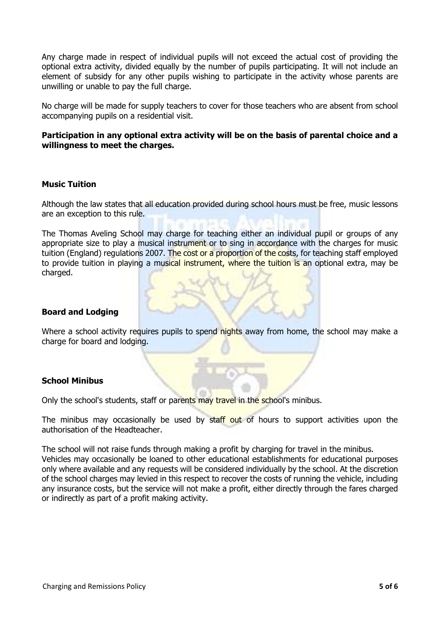Any charge made in respect of individual pupils will not exceed the actual cost of providing the optional extra activity, divided equally by the number of pupils participating. It will not include an element of subsidy for any other pupils wishing to participate in the activity whose parents are unwilling or unable to pay the full charge.

No charge will be made for supply teachers to cover for those teachers who are absent from school accompanying pupils on a residential visit.

### **Participation in any optional extra activity will be on the basis of parental choice and a willingness to meet the charges.**

### **Music Tuition**

Although the law states that all education provided during school hours must be free, music lessons are an exception to this rule.

The Thomas Aveling School may charge for teaching either an individual pupil or groups of any appropriate size to play a musical instrument or to sing in accordance with the charges for music tuition (England) regulations 2007. The cost or a proportion of the costs, for teaching staff employed to provide tuition in playing a musical instrument, where the tuition is an optional extra, may be charged.

### **Board and Lodging**

Where a school activity requires pupils to spend nights away from home, the school may make a charge for board and lodging.

### **School Minibus**

Only the school's students, staff or parents may travel in the school's minibus.

The minibus may occasionally be used by staff out of hours to support activities upon the authorisation of the Headteacher.

The school will not raise funds through making a profit by charging for travel in the minibus. Vehicles may occasionally be loaned to other educational establishments for educational purposes only where available and any requests will be considered individually by the school. At the discretion of the school charges may levied in this respect to recover the costs of running the vehicle, including any insurance costs, but the service will not make a profit, either directly through the fares charged or indirectly as part of a profit making activity.